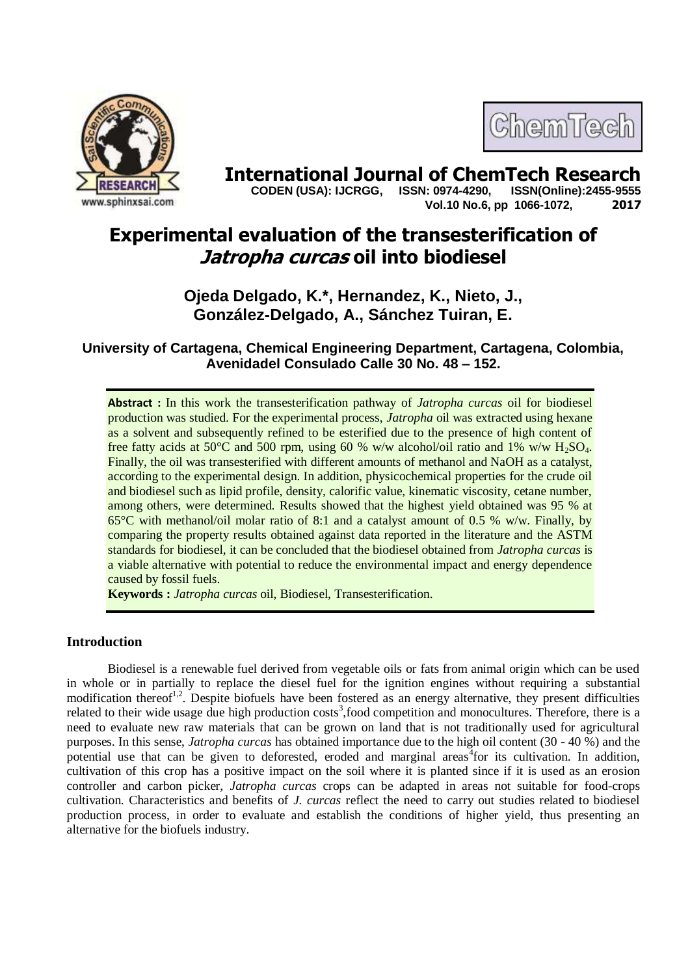

# ChemTech

**International Journal of ChemTech Research <br>CODEN (USA): IJCRGG. ISSN: 0974-4290. ISSN(Online):2455-9555 CODEN (USA): IJCRGG, ISSN: 0974-4290, Vol.10 No.6, pp 1066-1072, 2017**

# **Experimental evaluation of the transesterification of Jatropha curcas oil into biodiesel**

# **Ojeda Delgado, K.\*, Hernandez, K., Nieto, J., González-Delgado, A., Sánchez Tuiran, E.**

**University of Cartagena, Chemical Engineering Department, Cartagena, Colombia, Avenidadel Consulado Calle 30 No. 48 – 152.**

**Abstract :** In this work the transesterification pathway of *Jatropha curcas* oil for biodiesel production was studied. For the experimental process, *Jatropha* oil was extracted using hexane as a solvent and subsequently refined to be esterified due to the presence of high content of free fatty acids at 50 $^{\circ}$ C and 500 rpm, using 60 % w/w alcohol/oil ratio and 1% w/w H<sub>2</sub>SO<sub>4</sub>. Finally, the oil was transesterified with different amounts of methanol and NaOH as a catalyst, according to the experimental design. In addition, physicochemical properties for the crude oil and biodiesel such as lipid profile, density, calorific value, kinematic viscosity, cetane number, among others, were determined. Results showed that the highest yield obtained was 95 % at 65°C with methanol/oil molar ratio of 8:1 and a catalyst amount of 0.5 % w/w. Finally, by comparing the property results obtained against data reported in the literature and the ASTM standards for biodiesel, it can be concluded that the biodiesel obtained from *Jatropha curcas* is a viable alternative with potential to reduce the environmental impact and energy dependence caused by fossil fuels.

**Keywords :** *Jatropha curcas* oil, Biodiesel, Transesterification.

# **Introduction**

Biodiesel is a renewable fuel derived from vegetable oils or fats from animal origin which can be used in whole or in partially to replace the diesel fuel for the ignition engines without requiring a substantial modification thereof<sup>1,2</sup>. Despite biofuels have been fostered as an energy alternative, they present difficulties related to their wide usage due high production costs<sup>3</sup>, food competition and monocultures. Therefore, there is a need to evaluate new raw materials that can be grown on land that is not traditionally used for agricultural purposes. In this sense, *Jatropha curcas* has obtained importance due to the high oil content (30 - 40 %) and the potential use that can be given to deforested, eroded and marginal areas<sup>4</sup> for its cultivation. In addition, cultivation of this crop has a positive impact on the soil where it is planted since if it is used as an erosion controller and carbon picker, *Jatropha curcas* crops can be adapted in areas not suitable for food-crops cultivation. Characteristics and benefits of *J. curcas* reflect the need to carry out studies related to biodiesel production process, in order to evaluate and establish the conditions of higher yield, thus presenting an alternative for the biofuels industry.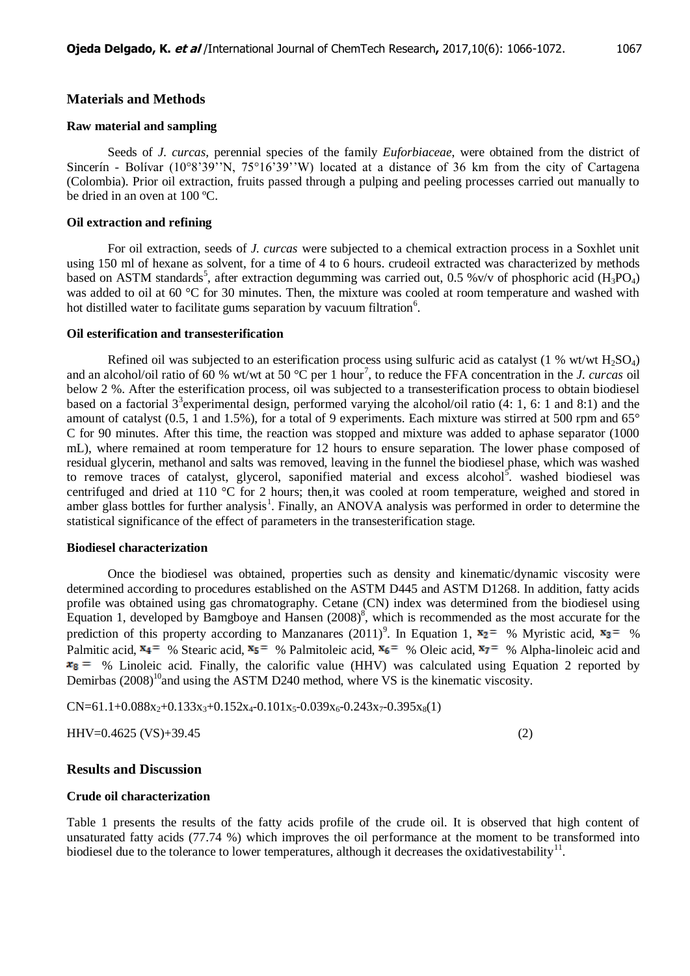# **Materials and Methods**

#### **Raw material and sampling**

Seeds of *J. curcas,* perennial species of the family *Euforbiaceae*, were obtained from the district of Sincerín - Bolívar (10°8'39''N, 75°16'39''W) located at a distance of 36 km from the city of Cartagena (Colombia). Prior oil extraction, fruits passed through a pulping and peeling processes carried out manually to be dried in an oven at 100 ºC.

#### **Oil extraction and refining**

For oil extraction, seeds of *J. curcas* were subjected to a chemical extraction process in a Soxhlet unit using 150 ml of hexane as solvent, for a time of 4 to 6 hours. crudeoil extracted was characterized by methods based on ASTM standards<sup>5</sup>, after extraction degumming was carried out, 0.5 %v/v of phosphoric acid (H<sub>3</sub>PO<sub>4</sub>) was added to oil at 60 °C for 30 minutes. Then, the mixture was cooled at room temperature and washed with hot distilled water to facilitate gums separation by vacuum filtration<sup>6</sup>.

#### **Oil esterification and transesterification**

Refined oil was subjected to an esterification process using sulfuric acid as catalyst  $(1\%$  wt/wt H<sub>2</sub>SO<sub>4</sub>) and an alcohol/oil ratio of 60 % wt/wt at 50  $^{\circ}$ C per 1 hour<sup>7</sup>, to reduce the FFA concentration in the *J. curcas* oil below 2 %. After the esterification process, oil was subjected to a transesterification process to obtain biodiesel based on a factorial  $3^3$  experimental design, performed varying the alcohol/oil ratio (4: 1, 6: 1 and 8:1) and the amount of catalyst (0.5, 1 and 1.5%), for a total of 9 experiments. Each mixture was stirred at 500 rpm and 65° C for 90 minutes. After this time, the reaction was stopped and mixture was added to aphase separator (1000 mL), where remained at room temperature for 12 hours to ensure separation. The lower phase composed of residual glycerin, methanol and salts was removed, leaving in the funnel the biodiesel phase, which was washed to remove traces of catalyst, glycerol, saponified material and excess alcohol<sup>5</sup> washed biodiesel was centrifuged and dried at 110 °C for 2 hours; then,it was cooled at room temperature, weighed and stored in amber glass bottles for further analysis<sup>1</sup>. Finally, an ANOVA analysis was performed in order to determine the statistical significance of the effect of parameters in the transesterification stage.

#### **Biodiesel characterization**

Once the biodiesel was obtained, properties such as density and kinematic/dynamic viscosity were determined according to procedures established on the ASTM D445 and ASTM D1268. In addition, fatty acids profile was obtained using gas chromatography. Cetane (CN) index was determined from the biodiesel using Equation 1, developed by Bamgboye and Hansen  $(2008)^8$ , which is recommended as the most accurate for the prediction of this property according to Manzanares (2011)<sup>9</sup>. In Equation 1,  $x_2 = \%$  Myristic acid,  $x_3 = \%$ Palmitic acid,  $x_4 = %$  Stearic acid,  $x_5 = %$  Palmitoleic acid,  $x_6 = %$  Oleic acid,  $x_7 = %$  Alpha-linoleic acid and  $x_8 = y_6$  Linoleic acid. Finally, the calorific value (HHV) was calculated using Equation 2 reported by Demirbas  $(2008)^{10}$  and using the ASTM D240 method, where VS is the kinematic viscosity.

$$
CN=61.1+0.088x_2+0.133x_3+0.152x_4-0.101x_5-0.039x_6-0.243x_7-0.395x_8(1)
$$

HHV=0.4625 (VS)+39.45 (2)

# **Results and Discussion**

#### **Crude oil characterization**

Table 1 presents the results of the fatty acids profile of the crude oil. It is observed that high content of unsaturated fatty acids (77.74 %) which improves the oil performance at the moment to be transformed into biodiesel due to the tolerance to lower temperatures, although it decreases the oxidativestability<sup>11</sup>.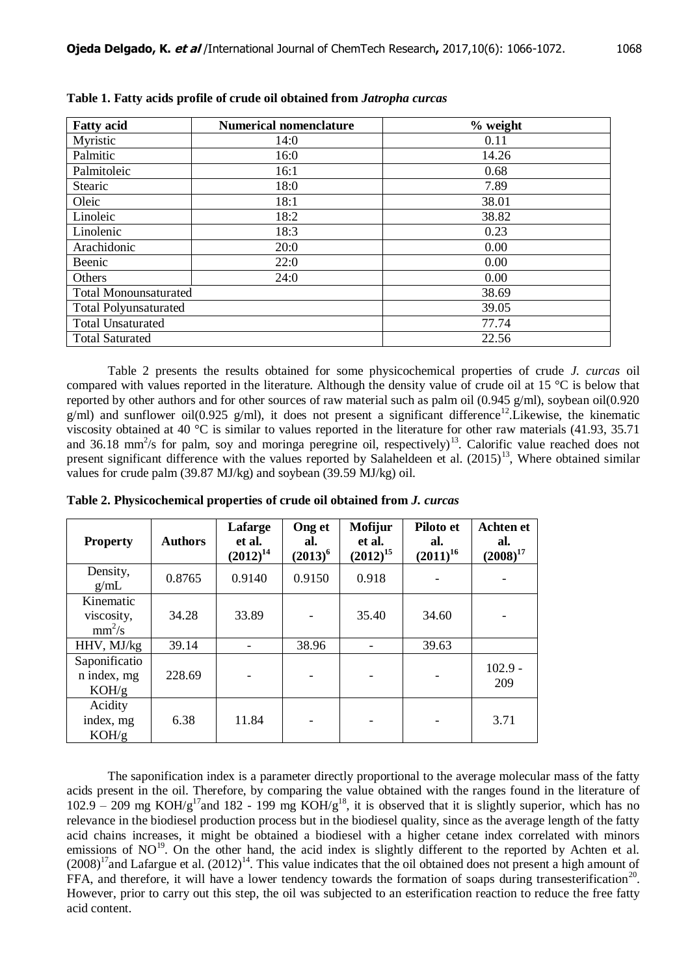| <b>Fatty acid</b>            | <b>Numerical nomenclature</b> | $%$ weight |  |
|------------------------------|-------------------------------|------------|--|
| Myristic                     | 14:0                          | 0.11       |  |
| Palmitic                     | 16:0                          | 14.26      |  |
| Palmitoleic                  | 16:1                          | 0.68       |  |
| Stearic                      | 18:0                          | 7.89       |  |
| Oleic                        | 18:1                          | 38.01      |  |
| Linoleic                     | 18:2                          | 38.82      |  |
| Linolenic                    | 18:3                          | 0.23       |  |
| Arachidonic                  | 20:0                          | 0.00       |  |
| Beenic                       | 22:0                          | 0.00       |  |
| Others                       | 24:0                          | 0.00       |  |
| <b>Total Monounsaturated</b> |                               | 38.69      |  |
| <b>Total Polyunsaturated</b> |                               | 39.05      |  |
| <b>Total Unsaturated</b>     |                               | 77.74      |  |
| <b>Total Saturated</b>       |                               | 22.56      |  |

**Table 1. Fatty acids profile of crude oil obtained from** *Jatropha curcas*

Table 2 presents the results obtained for some physicochemical properties of crude *J. curcas* oil compared with values reported in the literature. Although the density value of crude oil at 15 °C is below that reported by other authors and for other sources of raw material such as palm oil (0.945 g/ml), soybean oil(0.920  $g/ml$ ) and sunflower oil(0.925 g/ml), it does not present a significant difference<sup>12</sup>. Likewise, the kinematic viscosity obtained at 40  $^{\circ}$ C is similar to values reported in the literature for other raw materials (41.93, 35.71) and 36.18 mm<sup>2</sup>/s for palm, soy and moringa peregrine oil, respectively)<sup>13</sup>. Calorific value reached does not present significant difference with the values reported by Salaheldeen et al.  $(2015)^{13}$ , Where obtained similar values for crude palm (39.87 MJ/kg) and soybean (39.59 MJ/kg) oil.

| <b>Property</b>                       | <b>Authors</b> | Lafarge<br>et al.<br>$(2012)^{14}$ | Ong et<br>al.<br>$(2013)^6$ | <b>Mofijur</b><br>et al.<br>$(2012)^{15}$ | Piloto et<br>al.<br>$(2011)^{16}$ | <b>Achten et</b><br>al.<br>$(2008)^{17}$ |
|---------------------------------------|----------------|------------------------------------|-----------------------------|-------------------------------------------|-----------------------------------|------------------------------------------|
| Density,<br>g/mL                      | 0.8765         | 0.9140                             | 0.9150                      | 0.918                                     |                                   |                                          |
| Kinematic<br>viscosity,<br>$mm^2/s$   | 34.28          | 33.89                              |                             | 35.40                                     | 34.60                             |                                          |
| HHV, MJ/kg                            | 39.14          |                                    | 38.96                       |                                           | 39.63                             |                                          |
| Saponificatio<br>n index, mg<br>KOH/g | 228.69         |                                    |                             |                                           |                                   | $102.9 -$<br>209                         |
| Acidity<br>index, mg<br>KOH/g         | 6.38           | 11.84                              |                             |                                           |                                   | 3.71                                     |

**Table 2. Physicochemical properties of crude oil obtained from** *J. curcas*

The saponification index is a parameter directly proportional to the average molecular mass of the fatty acids present in the oil. Therefore, by comparing the value obtained with the ranges found in the literature of 102.9 – 209 mg KOH/g<sup>17</sup>and 182 - 199 mg KOH/g<sup>18</sup>, it is observed that it is slightly superior, which has no relevance in the biodiesel production process but in the biodiesel quality, since as the average length of the fatty acid chains increases, it might be obtained a biodiesel with a higher cetane index correlated with minors emissions of NO<sup>19</sup>. On the other hand, the acid index is slightly different to the reported by Achten et al.  $(2008)^{17}$ and Lafargue et al.  $(2012)^{14}$ . This value indicates that the oil obtained does not present a high amount of FFA, and therefore, it will have a lower tendency towards the formation of soaps during transesterification<sup>20</sup>. However, prior to carry out this step, the oil was subjected to an esterification reaction to reduce the free fatty acid content.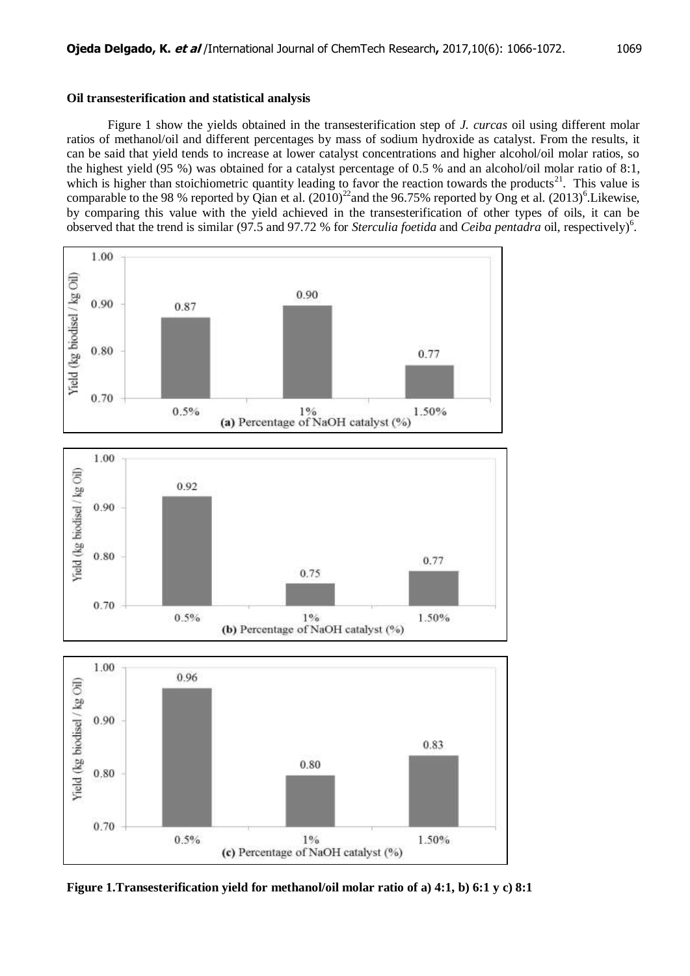## **Oil transesterification and statistical analysis**

Figure 1 show the yields obtained in the transesterification step of *J. curcas* oil using different molar ratios of methanol/oil and different percentages by mass of sodium hydroxide as catalyst. From the results, it can be said that yield tends to increase at lower catalyst concentrations and higher alcohol/oil molar ratios, so the highest yield (95 %) was obtained for a catalyst percentage of 0.5 % and an alcohol/oil molar ratio of 8:1, which is higher than stoichiometric quantity leading to favor the reaction towards the products<sup>21</sup>. This value is comparable to the 98 % reported by Qian et al.  $(2010)^{22}$  and the 96.75% reported by Ong et al.  $(2013)^{6}$ . Likewise, by comparing this value with the yield achieved in the transesterification of other types of oils, it can be observed that the trend is similar (97.5 and 97.72 % for *Sterculia foetida* and *Ceiba pentadra* oil, respectively)<sup>6</sup>.



**Figure 1.Transesterification yield for methanol/oil molar ratio of a) 4:1, b) 6:1 y c) 8:1**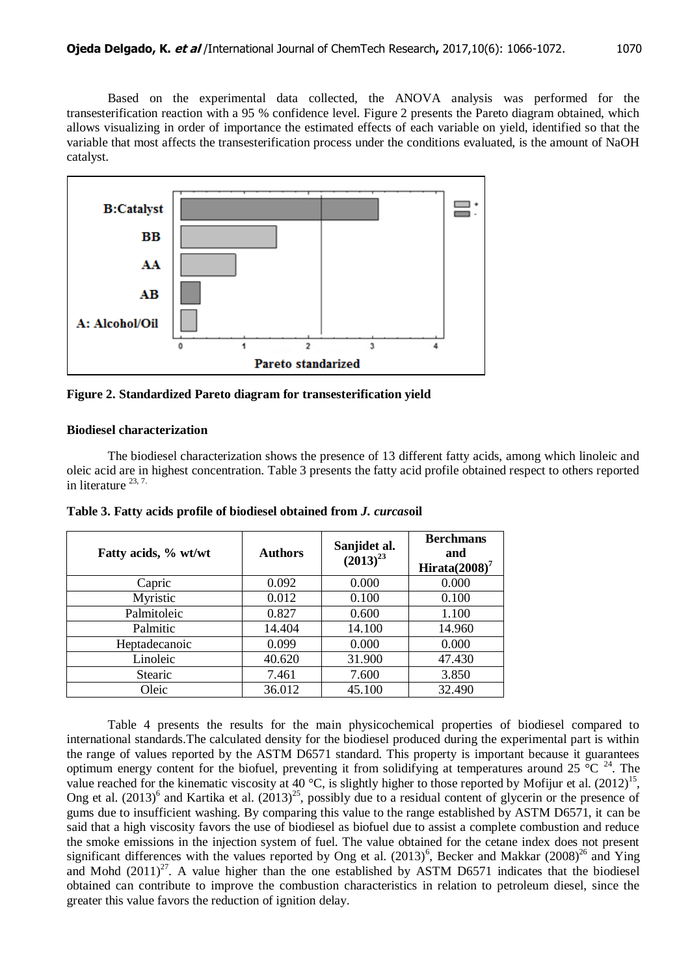

**Figure 2. Standardized Pareto diagram for transesterification yield**

## **Biodiesel characterization**

The biodiesel characterization shows the presence of 13 different fatty acids, among which linoleic and oleic acid are in highest concentration. Table 3 presents the fatty acid profile obtained respect to others reported in literature <sup>23, 7.</sup>

| Fatty acids, % wt/wt | <b>Authors</b> | Sanjidet al.<br>$(2013)^{23}$ | <b>Berchmans</b><br>and<br>Hirata $(2008)^7$ |
|----------------------|----------------|-------------------------------|----------------------------------------------|
| Capric               | 0.092          | 0.000                         | 0.000                                        |
| Myristic             | 0.012          | 0.100                         | 0.100                                        |
| Palmitoleic          | 0.827          | 0.600                         | 1.100                                        |
| Palmitic             | 14.404         | 14.100                        | 14.960                                       |
| Heptadecanoic        | 0.099          | 0.000                         | 0.000                                        |
| Linoleic             | 40.620         | 31.900                        | 47.430                                       |
| <b>Stearic</b>       | 7.461          | 7.600                         | 3.850                                        |
| Oleic                | 36.012         | 45.100                        | 32.490                                       |

**Table 3. Fatty acids profile of biodiesel obtained from** *J. curcas***oil**

Table 4 presents the results for the main physicochemical properties of biodiesel compared to international standards.The calculated density for the biodiesel produced during the experimental part is within the range of values reported by the ASTM D6571 standard. This property is important because it guarantees optimum energy content for the biofuel, preventing it from solidifying at temperatures around 25  $^{\circ}$ C <sup>24</sup>. The value reached for the kinematic viscosity at 40 °C, is slightly higher to those reported by Mofijur et al.  $(2012)^{15}$ , Ong et al.  $(2013)^6$  and Kartika et al.  $(2013)^{25}$ , possibly due to a residual content of glycerin or the presence of gums due to insufficient washing. By comparing this value to the range established by ASTM D6571, it can be said that a high viscosity favors the use of biodiesel as biofuel due to assist a complete combustion and reduce the smoke emissions in the injection system of fuel. The value obtained for the cetane index does not present significant differences with the values reported by Ong et al.  $(2013)^6$ , Becker and Makkar  $(2008)^{26}$  and Ying and Mohd  $(2011)^{27}$ . A value higher than the one established by ASTM D6571 indicates that the biodiesel obtained can contribute to improve the combustion characteristics in relation to petroleum diesel, since the greater this value favors the reduction of ignition delay.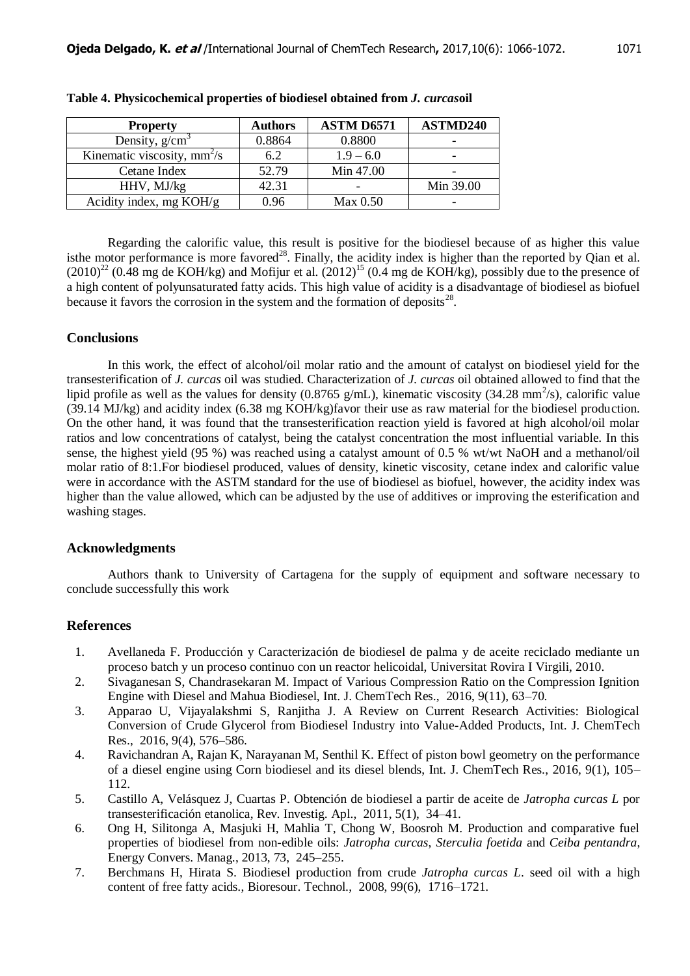| <b>Property</b>               | <b>Authors</b> | ASTM D6571  | ASTMD240  |
|-------------------------------|----------------|-------------|-----------|
| Density, $g/cm3$              | 0.8864         | 0.8800      |           |
| Kinematic viscosity, $mm^2/s$ | 6.2            | $1.9 - 6.0$ |           |
| Cetane Index                  | 52.79          | Min 47.00   |           |
| HHV, MJ/kg                    | 42.31          |             | Min 39.00 |
| Acidity index, mg KOH/g       | 0.96           | Max 0.50    |           |

**Table 4. Physicochemical properties of biodiesel obtained from** *J. curcas***oil**

Regarding the calorific value, this result is positive for the biodiesel because of as higher this value isthe motor performance is more favored<sup>28</sup>. Finally, the acidity index is higher than the reported by Qian et al.  $(2010)^{22}$  (0.48 mg de KOH/kg) and Mofijur et al.  $(2012)^{15}$  (0.4 mg de KOH/kg), possibly due to the presence of a high content of polyunsaturated fatty acids. This high value of acidity is a disadvantage of biodiesel as biofuel because it favors the corrosion in the system and the formation of deposits $^{28}$ .

# **Conclusions**

In this work, the effect of alcohol/oil molar ratio and the amount of catalyst on biodiesel yield for the transesterification of *J. curcas* oil was studied. Characterization of *J. curcas* oil obtained allowed to find that the lipid profile as well as the values for density (0.8765 g/mL), kinematic viscosity (34.28 mm<sup>2</sup>/s), calorific value (39.14 MJ/kg) and acidity index (6.38 mg KOH/kg)favor their use as raw material for the biodiesel production. On the other hand, it was found that the transesterification reaction yield is favored at high alcohol/oil molar ratios and low concentrations of catalyst, being the catalyst concentration the most influential variable. In this sense, the highest yield (95 %) was reached using a catalyst amount of 0.5 % wt/wt NaOH and a methanol/oil molar ratio of 8:1.For biodiesel produced, values of density, kinetic viscosity, cetane index and calorific value were in accordance with the ASTM standard for the use of biodiesel as biofuel, however, the acidity index was higher than the value allowed, which can be adjusted by the use of additives or improving the esterification and washing stages.

#### **Acknowledgments**

Authors thank to University of Cartagena for the supply of equipment and software necessary to conclude successfully this work

# **References**

- 1. Avellaneda F. Producción y Caracterización de biodiesel de palma y de aceite reciclado mediante un proceso batch y un proceso continuo con un reactor helicoidal, Universitat Rovira I Virgili, 2010.
- 2. Sivaganesan S, Chandrasekaran M. Impact of Various Compression Ratio on the Compression Ignition Engine with Diesel and Mahua Biodiesel, Int. J. ChemTech Res., 2016, 9(11), 63–70.
- 3. Apparao U, Vijayalakshmi S, Ranjitha J. A Review on Current Research Activities: Biological Conversion of Crude Glycerol from Biodiesel Industry into Value-Added Products, Int. J. ChemTech Res., 2016, 9(4), 576–586.
- 4. Ravichandran A, Rajan K, Narayanan M, Senthil K. Effect of piston bowl geometry on the performance of a diesel engine using Corn biodiesel and its diesel blends, Int. J. ChemTech Res., 2016, 9(1), 105– 112.
- 5. Castillo A, Velásquez J, Cuartas P. Obtención de biodiesel a partir de aceite de *Jatropha curcas L* por transesterificación etanolica, Rev. Investig. Apl., 2011, 5(1), 34–41.
- 6. Ong H, Silitonga A, Masjuki H, Mahlia T, Chong W, Boosroh M. Production and comparative fuel properties of biodiesel from non-edible oils: *Jatropha curcas*, *Sterculia foetida* and *Ceiba pentandra*, Energy Convers. Manag., 2013, 73, 245–255.
- 7. Berchmans H, Hirata S. Biodiesel production from crude *Jatropha curcas L*. seed oil with a high content of free fatty acids., Bioresour. Technol., 2008, 99(6), 1716–1721.